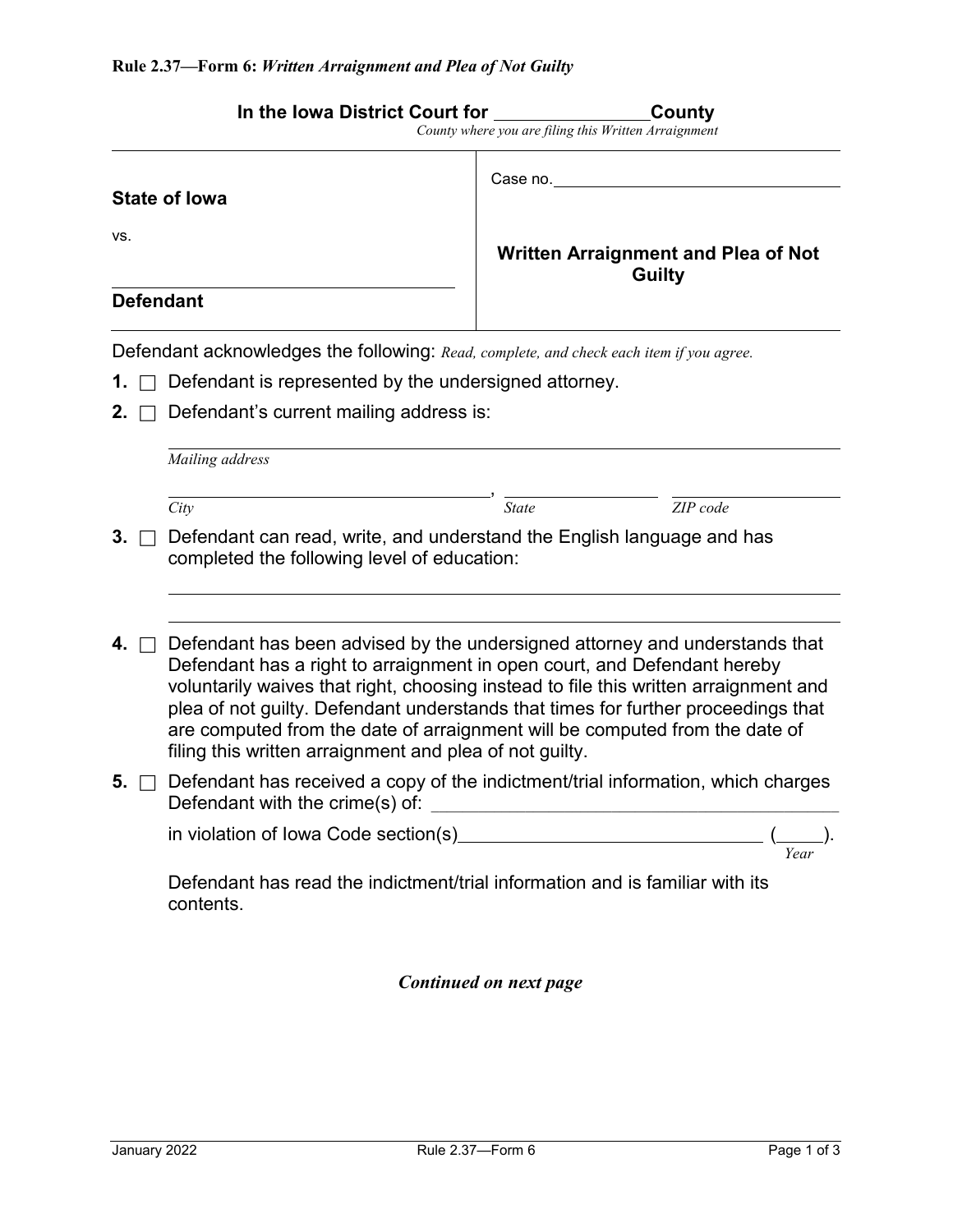|           | In the Iowa District Court for                                                                                                                                                                                                                                                                                                                                                                                                                                                 | County where you are filing this Written Arraignment        | County   |  |  |  |
|-----------|--------------------------------------------------------------------------------------------------------------------------------------------------------------------------------------------------------------------------------------------------------------------------------------------------------------------------------------------------------------------------------------------------------------------------------------------------------------------------------|-------------------------------------------------------------|----------|--|--|--|
|           | <b>State of lowa</b>                                                                                                                                                                                                                                                                                                                                                                                                                                                           | Case no.                                                    |          |  |  |  |
| VS.       |                                                                                                                                                                                                                                                                                                                                                                                                                                                                                | <b>Written Arraignment and Plea of Not</b><br><b>Guilty</b> |          |  |  |  |
|           | <b>Defendant</b>                                                                                                                                                                                                                                                                                                                                                                                                                                                               |                                                             |          |  |  |  |
|           | Defendant acknowledges the following: Read, complete, and check each item if you agree.                                                                                                                                                                                                                                                                                                                                                                                        |                                                             |          |  |  |  |
|           | Defendant is represented by the undersigned attorney.                                                                                                                                                                                                                                                                                                                                                                                                                          |                                                             |          |  |  |  |
| 2.        | Defendant's current mailing address is:                                                                                                                                                                                                                                                                                                                                                                                                                                        |                                                             |          |  |  |  |
|           | Mailing address                                                                                                                                                                                                                                                                                                                                                                                                                                                                |                                                             |          |  |  |  |
|           | City                                                                                                                                                                                                                                                                                                                                                                                                                                                                           | <b>State</b>                                                | ZIP code |  |  |  |
| 3.        | Defendant can read, write, and understand the English language and has<br>completed the following level of education:                                                                                                                                                                                                                                                                                                                                                          |                                                             |          |  |  |  |
| 4. $\Box$ | Defendant has been advised by the undersigned attorney and understands that<br>Defendant has a right to arraignment in open court, and Defendant hereby<br>voluntarily waives that right, choosing instead to file this written arraignment and<br>plea of not guilty. Defendant understands that times for further proceedings that<br>are computed from the date of arraignment will be computed from the date of<br>filing this written arraignment and plea of not guilty. |                                                             |          |  |  |  |
| 5.        | Defendant has received a copy of the indictment/trial information, which charges<br>Defendant with the crime(s) of:<br><u> 1989 - Johann Barbara, martxa alemaniar amerikan basar da a</u>                                                                                                                                                                                                                                                                                     |                                                             |          |  |  |  |
|           | Yeai                                                                                                                                                                                                                                                                                                                                                                                                                                                                           |                                                             |          |  |  |  |
|           | Defendant has read the indictment/trial information and is familiar with its<br>contents.                                                                                                                                                                                                                                                                                                                                                                                      |                                                             |          |  |  |  |
|           |                                                                                                                                                                                                                                                                                                                                                                                                                                                                                | Continued on next page                                      |          |  |  |  |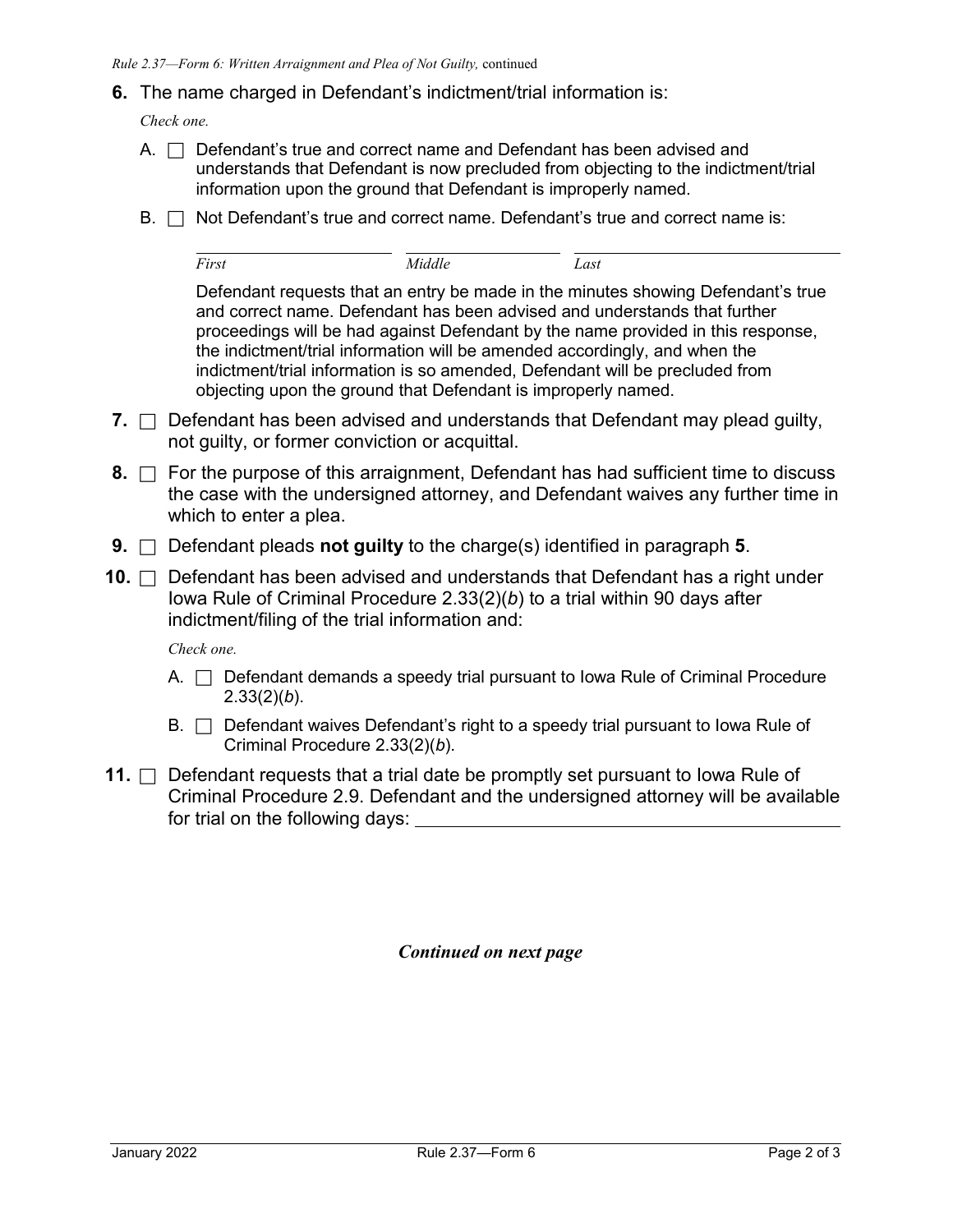## **6.** The name charged in Defendant's indictment/trial information is:

*Check one.*

- A.  $\Box$  Defendant's true and correct name and Defendant has been advised and understands that Defendant is now precluded from objecting to the indictment/trial information upon the ground that Defendant is improperly named.
- $B. \Box$  Not Defendant's true and correct name. Defendant's true and correct name is:

*First Middle Last*

Defendant requests that an entry be made in the minutes showing Defendant's true and correct name. Defendant has been advised and understands that further proceedings will be had against Defendant by the name provided in this response, the indictment/trial information will be amended accordingly, and when the indictment/trial information is so amended, Defendant will be precluded from objecting upon the ground that Defendant is improperly named.

- **7.**  $\Box$  Defendant has been advised and understands that Defendant may plead guilty, not guilty, or former conviction or acquittal.
- **8.**  $\Box$  For the purpose of this arraignment, Defendant has had sufficient time to discuss the case with the undersigned attorney, and Defendant waives any further time in which to enter a plea.
- **9.** □ Defendant pleads **not guilty** to the charge(s) identified in paragraph **5**.
- **10.** □ Defendant has been advised and understands that Defendant has a right under Iowa Rule of Criminal Procedure 2.33(2)(*b*) to a trial within 90 days after indictment/filing of the trial information and:

*Check one.*

- A.  $\Box$  Defendant demands a speedy trial pursuant to Iowa Rule of Criminal Procedure 2.33(2)(*b*).
- $B.$   $\Box$  Defendant waives Defendant's right to a speedy trial pursuant to lowa Rule of Criminal Procedure 2.33(2)(*b*).
- **11.** □ Defendant requests that a trial date be promptly set pursuant to lowa Rule of Criminal Procedure 2.9. Defendant and the undersigned attorney will be available for trial on the following days:

*Continued on next page*